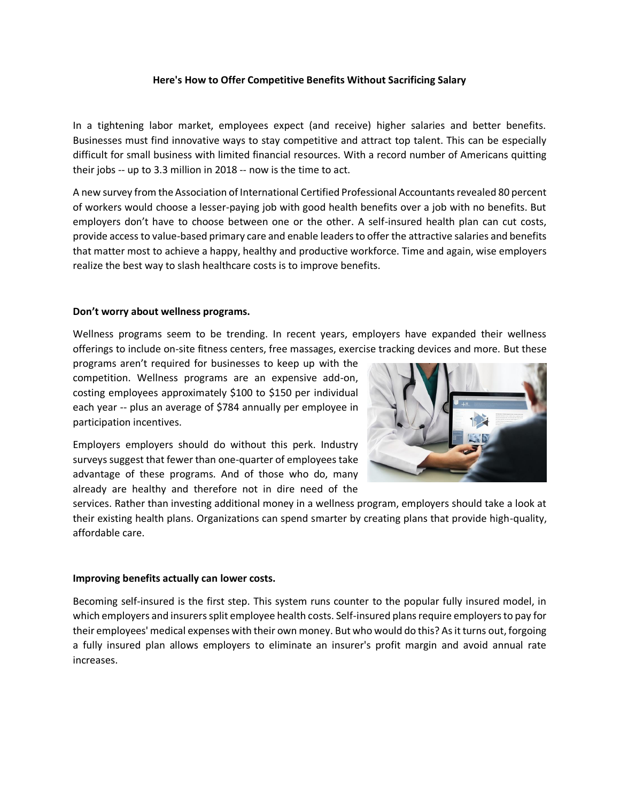## **Here's How to Offer Competitive Benefits Without Sacrificing Salary**

In a tightening labor market, employees expect (and receive) higher salaries and better benefits. Businesses must find innovative ways to stay competitive and attract top talent. This can be especially difficult for small business with limited financial resources. With a record number of Americans quitting their jobs -- up to 3.3 million in 2018 -- now is the time to act.

A new survey from the Association of International Certified Professional Accountants revealed 80 percent of workers would choose a lesser-paying job with good health benefits over a job with no benefits. But employers don't have to choose between one or the other. A self-insured health plan can cut costs, provide access to value-based primary care and enable leaders to offer the attractive salaries and benefits that matter most to achieve a happy, healthy and productive workforce. Time and again, wise employers realize the best way to slash healthcare costs is to improve benefits.

## **Don't worry about wellness programs.**

Wellness programs seem to be trending. In recent years, employers have expanded their wellness offerings to include on-site fitness centers, free massages, exercise tracking devices and more. But these

programs aren't required for businesses to keep up with the competition. Wellness programs are an expensive add-on, costing employees approximately \$100 to \$150 per individual each year -- plus an average of \$784 annually per employee in participation incentives.



Employers employers should do without this perk. Industry surveys suggest that fewer than one-quarter of employees take advantage of these programs. And of those who do, many already are healthy and therefore not in dire need of the

services. Rather than investing additional money in a wellness program, employers should take a look at their existing health plans. Organizations can spend smarter by creating plans that provide high-quality, affordable care.

### **Improving benefits actually can lower costs.**

Becoming self-insured is the first step. This system runs counter to the popular fully insured model, in which employers and insurers split employee health costs. Self-insured plans require employers to pay for their employees' medical expenses with their own money. But who would do this? As it turns out, forgoing a fully insured plan allows employers to eliminate an insurer's profit margin and avoid annual rate increases.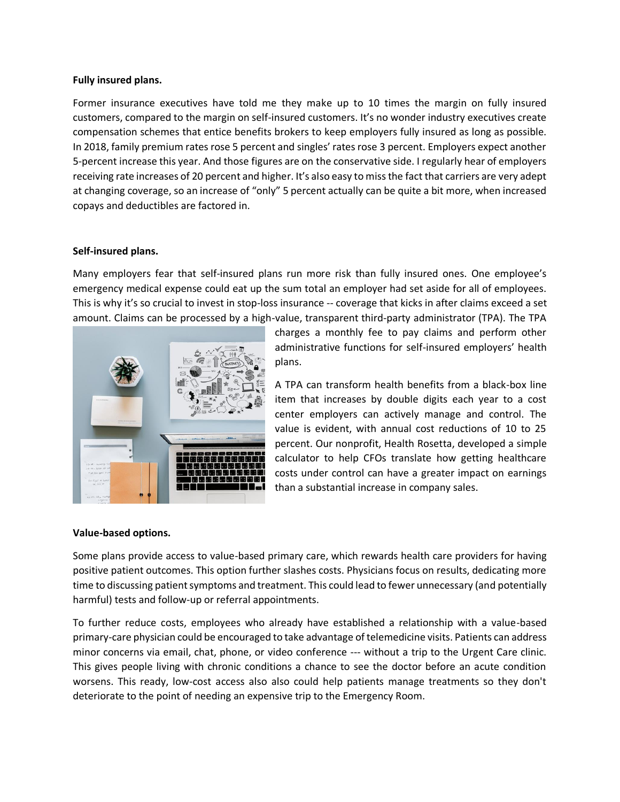### **Fully insured plans.**

Former insurance executives have told me they make up to 10 times the margin on fully insured customers, compared to the margin on self-insured customers. It's no wonder industry executives create compensation schemes that entice benefits brokers to keep employers fully insured as long as possible. In 2018, family premium rates rose 5 percent and singles' rates rose 3 percent. Employers expect another 5-percent increase this year. And those figures are on the conservative side. I regularly hear of employers receiving rate increases of 20 percent and higher. It's also easy to miss the fact that carriers are very adept at changing coverage, so an increase of "only" 5 percent actually can be quite a bit more, when increased copays and deductibles are factored in.

# **Self-insured plans.**

Many employers fear that self-insured plans run more risk than fully insured ones. One employee's emergency medical expense could eat up the sum total an employer had set aside for all of employees. This is why it's so crucial to invest in stop-loss insurance -- coverage that kicks in after claims exceed a set amount. Claims can be processed by a high-value, transparent third-party administrator (TPA). The TPA



charges a monthly fee to pay claims and perform other administrative functions for self-insured employers' health plans.

A TPA can transform health benefits from a black-box line item that increases by double digits each year to a cost center employers can actively manage and control. The value is evident, with annual cost reductions of 10 to 25 percent. Our nonprofit, Health Rosetta, developed a simple calculator to help CFOs translate how getting healthcare costs under control can have a greater impact on earnings than a substantial increase in company sales.

### **Value-based options.**

Some plans provide access to value-based primary care, which rewards health care providers for having positive patient outcomes. This option further slashes costs. Physicians focus on results, dedicating more time to discussing patient symptoms and treatment. This could lead to fewer unnecessary (and potentially harmful) tests and follow-up or referral appointments.

To further reduce costs, employees who already have established a relationship with a value-based primary-care physician could be encouraged to take advantage of telemedicine visits. Patients can address minor concerns via email, chat, phone, or video conference --- without a trip to the Urgent Care clinic. This gives people living with chronic conditions a chance to see the doctor before an acute condition worsens. This ready, low-cost access also also could help patients manage treatments so they don't deteriorate to the point of needing an expensive trip to the Emergency Room.